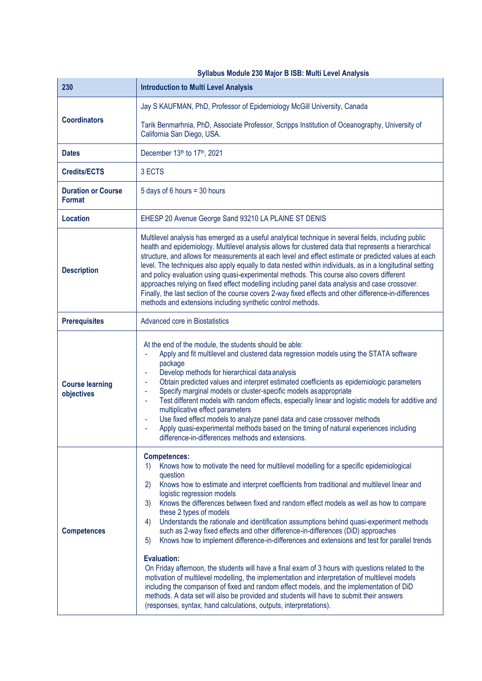| Syllabus Module 230 Major B ISB: Multi Level Analysis |                                                                                                                                                                                                                                                                                                                                                                                                                                                                                                                                                                                                                                                                                                                                                                                                                                                                                                                                                                                                                                                                                                                                                                                      |  |
|-------------------------------------------------------|--------------------------------------------------------------------------------------------------------------------------------------------------------------------------------------------------------------------------------------------------------------------------------------------------------------------------------------------------------------------------------------------------------------------------------------------------------------------------------------------------------------------------------------------------------------------------------------------------------------------------------------------------------------------------------------------------------------------------------------------------------------------------------------------------------------------------------------------------------------------------------------------------------------------------------------------------------------------------------------------------------------------------------------------------------------------------------------------------------------------------------------------------------------------------------------|--|
| 230                                                   | <b>Introduction to Multi Level Analysis</b>                                                                                                                                                                                                                                                                                                                                                                                                                                                                                                                                                                                                                                                                                                                                                                                                                                                                                                                                                                                                                                                                                                                                          |  |
| <b>Coordinators</b>                                   | Jay S KAUFMAN, PhD, Professor of Epidemiology McGill University, Canada                                                                                                                                                                                                                                                                                                                                                                                                                                                                                                                                                                                                                                                                                                                                                                                                                                                                                                                                                                                                                                                                                                              |  |
|                                                       | Tarik Benmarhnia, PhD, Associate Professor, Scripps Institution of Oceanography, University of<br>California San Diego, USA.                                                                                                                                                                                                                                                                                                                                                                                                                                                                                                                                                                                                                                                                                                                                                                                                                                                                                                                                                                                                                                                         |  |
| <b>Dates</b>                                          | December 13th to 17th, 2021                                                                                                                                                                                                                                                                                                                                                                                                                                                                                                                                                                                                                                                                                                                                                                                                                                                                                                                                                                                                                                                                                                                                                          |  |
| <b>Credits/ECTS</b>                                   | 3 ECTS                                                                                                                                                                                                                                                                                                                                                                                                                                                                                                                                                                                                                                                                                                                                                                                                                                                                                                                                                                                                                                                                                                                                                                               |  |
| <b>Duration or Course</b><br><b>Format</b>            | 5 days of 6 hours = 30 hours                                                                                                                                                                                                                                                                                                                                                                                                                                                                                                                                                                                                                                                                                                                                                                                                                                                                                                                                                                                                                                                                                                                                                         |  |
| <b>Location</b>                                       | EHESP 20 Avenue George Sand 93210 LA PLAINE ST DENIS                                                                                                                                                                                                                                                                                                                                                                                                                                                                                                                                                                                                                                                                                                                                                                                                                                                                                                                                                                                                                                                                                                                                 |  |
| <b>Description</b>                                    | Multilevel analysis has emerged as a useful analytical technique in several fields, including public<br>health and epidemiology. Multilevel analysis allows for clustered data that represents a hierarchical<br>structure, and allows for measurements at each level and effect estimate or predicted values at each<br>level. The techniques also apply equally to data nested within individuals, as in a longitudinal setting<br>and policy evaluation using quasi-experimental methods. This course also covers different<br>approaches relying on fixed effect modelling including panel data analysis and case crossover.<br>Finally, the last section of the course covers 2-way fixed effects and other difference-in-differences<br>methods and extensions including synthetic control methods.                                                                                                                                                                                                                                                                                                                                                                            |  |
| <b>Prerequisites</b>                                  | Advanced core in Biostatistics                                                                                                                                                                                                                                                                                                                                                                                                                                                                                                                                                                                                                                                                                                                                                                                                                                                                                                                                                                                                                                                                                                                                                       |  |
| <b>Course learning</b><br>objectives                  | At the end of the module, the students should be able:<br>Apply and fit multilevel and clustered data regression models using the STATA software<br>package<br>Develop methods for hierarchical data analysis<br>Obtain predicted values and interpret estimated coefficients as epidemiologic parameters<br>٠<br>Specify marginal models or cluster-specific models as appropriate<br>$\blacksquare$<br>Test different models with random effects, especially linear and logistic models for additive and<br>multiplicative effect parameters<br>Use fixed effect models to analyze panel data and case crossover methods<br>Apply quasi-experimental methods based on the timing of natural experiences including<br>difference-in-differences methods and extensions.                                                                                                                                                                                                                                                                                                                                                                                                             |  |
| <b>Competences</b>                                    | <b>Competences:</b><br>Knows how to motivate the need for multilevel modelling for a specific epidemiological<br>1)<br>question<br>Knows how to estimate and interpret coefficients from traditional and multilevel linear and<br>2)<br>logistic regression models<br>Knows the differences between fixed and random effect models as well as how to compare<br>3)<br>these 2 types of models<br>Understands the rationale and identification assumptions behind quasi-experiment methods<br>4)<br>such as 2-way fixed effects and other difference-in-differences (DiD) approaches<br>Knows how to implement difference-in-differences and extensions and test for parallel trends<br>5)<br><b>Evaluation:</b><br>On Friday afternoon, the students will have a final exam of 3 hours with questions related to the<br>motivation of multilevel modelling, the implementation and interpretation of multilevel models<br>including the comparison of fixed and random effect models, and the implementation of DiD<br>methods. A data set will also be provided and students will have to submit their answers<br>(responses, syntax, hand calculations, outputs, interpretations). |  |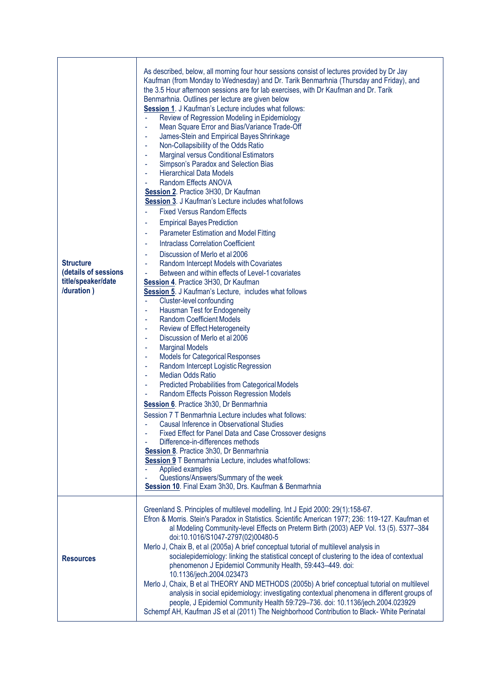| <b>Structure</b><br>(details of sessions<br>title/speaker/date<br>/duration) | As described, below, all morning four hour sessions consist of lectures provided by Dr Jay<br>Kaufman (from Monday to Wednesday) and Dr. Tarik Benmarhnia (Thursday and Friday), and<br>the 3.5 Hour afternoon sessions are for lab exercises, with Dr Kaufman and Dr. Tarik<br>Benmarhnia. Outlines per lecture are given below<br>Session 1. J Kaufman's Lecture includes what follows:<br>Review of Regression Modeling in Epidemiology<br>Mean Square Error and Bias/Variance Trade-Off<br>James-Stein and Empirical Bayes Shrinkage<br>Non-Collapsibility of the Odds Ratio<br>ä,<br><b>Marginal versus Conditional Estimators</b><br>÷,<br>Simpson's Paradox and Selection Bias<br>$\blacksquare$<br><b>Hierarchical Data Models</b><br>$\blacksquare$<br>Random Effects ANOVA<br>Session 2. Practice 3H30, Dr Kaufman<br>Session 3. J Kaufman's Lecture includes what follows<br><b>Fixed Versus Random Effects</b><br><b>Empirical Bayes Prediction</b><br>Parameter Estimation and Model Fitting<br>$\blacksquare$<br><b>Intraclass Correlation Coefficient</b><br>÷,<br>Discussion of Merlo et al 2006<br>Random Intercept Models with Covariates<br>÷<br>Between and within effects of Level-1 covariates<br>Session 4. Practice 3H30, Dr Kaufman<br>Session 5. J Kaufman's Lecture, includes what follows<br>Cluster-level confounding<br>$\blacksquare$<br>Hausman Test for Endogeneity<br>ä,<br><b>Random Coefficient Models</b><br>$\blacksquare$<br>Review of Effect Heterogeneity<br>÷<br>Discussion of Merlo et al 2006<br>$\blacksquare$<br><b>Marginal Models</b><br>÷<br><b>Models for Categorical Responses</b><br>÷<br>Random Intercept Logistic Regression<br>$\blacksquare$<br><b>Median Odds Ratio</b><br>$\blacksquare$<br><b>Predicted Probabilities from Categorical Models</b><br>÷<br>Random Effects Poisson Regression Models<br>Session 6. Practice 3h30, Dr Benmarhnia<br>Session 7 T Benmarhnia Lecture includes what follows:<br>Causal Inference in Observational Studies<br>Fixed Effect for Panel Data and Case Crossover designs<br>Difference-in-differences methods<br>Session 8. Practice 3h30, Dr Benmarhnia<br>Session 9 T Benmarhnia Lecture, includes what follows:<br>Applied examples<br>Questions/Answers/Summary of the week<br>Session 10. Final Exam 3h30, Drs. Kaufman & Benmarhnia |
|------------------------------------------------------------------------------|-------------------------------------------------------------------------------------------------------------------------------------------------------------------------------------------------------------------------------------------------------------------------------------------------------------------------------------------------------------------------------------------------------------------------------------------------------------------------------------------------------------------------------------------------------------------------------------------------------------------------------------------------------------------------------------------------------------------------------------------------------------------------------------------------------------------------------------------------------------------------------------------------------------------------------------------------------------------------------------------------------------------------------------------------------------------------------------------------------------------------------------------------------------------------------------------------------------------------------------------------------------------------------------------------------------------------------------------------------------------------------------------------------------------------------------------------------------------------------------------------------------------------------------------------------------------------------------------------------------------------------------------------------------------------------------------------------------------------------------------------------------------------------------------------------------------------------------------------------------------------------------------------------------------------------------------------------------------------------------------------------------------------------------------------------------------------------------------------------------------------------------------------------------------------------------------------------------------------------------------------------------------------------------------------------------------------------------------|
| <b>Resources</b>                                                             | Greenland S. Principles of multilevel modelling. Int J Epid 2000: 29(1):158-67.<br>Efron & Morris. Stein's Paradox in Statistics. Scientific American 1977; 236: 119-127. Kaufman et<br>al Modeling Community-level Effects on Preterm Birth (2003) AEP Vol. 13 (5). 5377-384<br>doi:10.1016/S1047-2797(02)00480-5<br>Merlo J, Chaix B, et al (2005a) A brief conceptual tutorial of multilevel analysis in<br>socialepidemiology: linking the statistical concept of clustering to the idea of contextual<br>phenomenon J Epidemiol Community Health, 59:443-449. doi:<br>10.1136/jech.2004.023473<br>Merlo J, Chaix, B et al THEORY AND METHODS (2005b) A brief conceptual tutorial on multilevel<br>analysis in social epidemiology: investigating contextual phenomena in different groups of<br>people, J Epidemiol Community Health 59:729-736. doi: 10.1136/jech.2004.023929<br>Schempf AH, Kaufman JS et al (2011) The Neighborhood Contribution to Black- White Perinatal                                                                                                                                                                                                                                                                                                                                                                                                                                                                                                                                                                                                                                                                                                                                                                                                                                                                                                                                                                                                                                                                                                                                                                                                                                                                                                                                                        |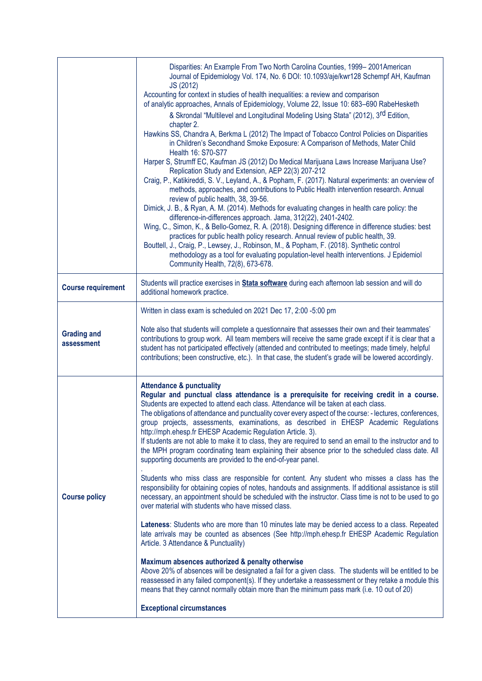|                                  | Disparities: An Example From Two North Carolina Counties, 1999-2001American<br>Journal of Epidemiology Vol. 174, No. 6 DOI: 10.1093/aje/kwr128 Schempf AH, Kaufman<br>JS (2012)<br>Accounting for context in studies of health inequalities: a review and comparison<br>of analytic approaches, Annals of Epidemiology, Volume 22, Issue 10: 683-690 RabeHesketh<br>& Skrondal "Multilevel and Longitudinal Modeling Using Stata" (2012), 3rd Edition.<br>chapter 2.<br>Hawkins SS, Chandra A, Berkma L (2012) The Impact of Tobacco Control Policies on Disparities<br>in Children's Secondhand Smoke Exposure: A Comparison of Methods, Mater Child<br>Health 16: S70-S77<br>Harper S, Strumff EC, Kaufman JS (2012) Do Medical Marijuana Laws Increase Marijuana Use?<br>Replication Study and Extension, AEP 22(3) 207-212<br>Craig, P., Katikireddi, S. V., Leyland, A., & Popham, F. (2017). Natural experiments: an overview of<br>methods, approaches, and contributions to Public Health intervention research. Annual<br>review of public health, 38, 39-56.<br>Dimick, J. B., & Ryan, A. M. (2014). Methods for evaluating changes in health care policy: the<br>difference-in-differences approach. Jama, 312(22), 2401-2402.<br>Wing, C., Simon, K., & Bello-Gomez, R. A. (2018). Designing difference in difference studies: best<br>practices for public health policy research. Annual review of public health, 39.<br>Bouttell, J., Craig, P., Lewsey, J., Robinson, M., & Popham, F. (2018). Synthetic control<br>methodology as a tool for evaluating population-level health interventions. J Epidemiol<br>Community Health, 72(8), 673-678.                                                                                                                                       |
|----------------------------------|--------------------------------------------------------------------------------------------------------------------------------------------------------------------------------------------------------------------------------------------------------------------------------------------------------------------------------------------------------------------------------------------------------------------------------------------------------------------------------------------------------------------------------------------------------------------------------------------------------------------------------------------------------------------------------------------------------------------------------------------------------------------------------------------------------------------------------------------------------------------------------------------------------------------------------------------------------------------------------------------------------------------------------------------------------------------------------------------------------------------------------------------------------------------------------------------------------------------------------------------------------------------------------------------------------------------------------------------------------------------------------------------------------------------------------------------------------------------------------------------------------------------------------------------------------------------------------------------------------------------------------------------------------------------------------------------------------------------------------------------------------------------------------------------------------|
| <b>Course requirement</b>        | Students will practice exercises in <b>Stata software</b> during each afternoon lab session and will do<br>additional homework practice.                                                                                                                                                                                                                                                                                                                                                                                                                                                                                                                                                                                                                                                                                                                                                                                                                                                                                                                                                                                                                                                                                                                                                                                                                                                                                                                                                                                                                                                                                                                                                                                                                                                               |
| <b>Grading and</b><br>assessment | Written in class exam is scheduled on 2021 Dec 17, 2:00 -5:00 pm<br>Note also that students will complete a questionnaire that assesses their own and their teammates'<br>contributions to group work. All team members will receive the same grade except if it is clear that a<br>student has not participated effectively (attended and contributed to meetings; made timely, helpful<br>contributions; been constructive, etc.). In that case, the student's grade will be lowered accordingly.                                                                                                                                                                                                                                                                                                                                                                                                                                                                                                                                                                                                                                                                                                                                                                                                                                                                                                                                                                                                                                                                                                                                                                                                                                                                                                    |
| <b>Course policy</b>             | <b>Attendance &amp; punctuality</b><br>Regular and punctual class attendance is a prerequisite for receiving credit in a course.<br>Students are expected to attend each class. Attendance will be taken at each class.<br>The obligations of attendance and punctuality cover every aspect of the course: - lectures, conferences,<br>group projects, assessments, examinations, as described in EHESP Academic Regulations<br>http://mph.ehesp.fr EHESP Academic Regulation Article. 3).<br>If students are not able to make it to class, they are required to send an email to the instructor and to<br>the MPH program coordinating team explaining their absence prior to the scheduled class date. All<br>supporting documents are provided to the end-of-year panel.<br>Students who miss class are responsible for content. Any student who misses a class has the<br>responsibility for obtaining copies of notes, handouts and assignments. If additional assistance is still<br>necessary, an appointment should be scheduled with the instructor. Class time is not to be used to go<br>over material with students who have missed class.<br>Lateness: Students who are more than 10 minutes late may be denied access to a class. Repeated<br>late arrivals may be counted as absences (See http://mph.ehesp.fr EHESP Academic Regulation<br>Article. 3 Attendance & Punctuality)<br>Maximum absences authorized & penalty otherwise<br>Above 20% of absences will be designated a fail for a given class. The students will be entitled to be<br>reassessed in any failed component(s). If they undertake a reassessment or they retake a module this<br>means that they cannot normally obtain more than the minimum pass mark (i.e. 10 out of 20)<br><b>Exceptional circumstances</b> |